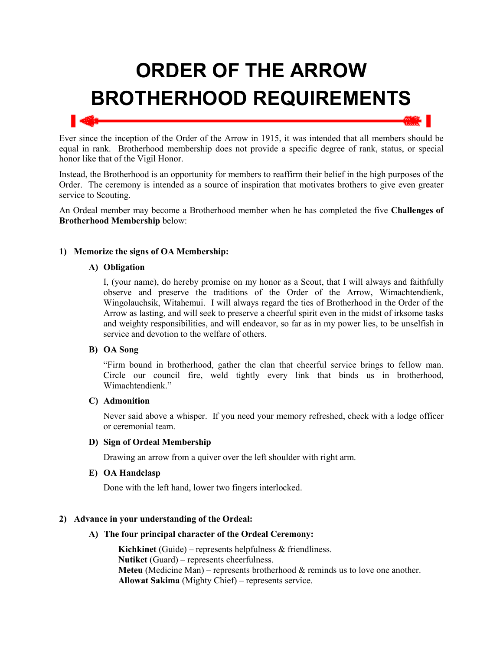# **ORDER OF THE ARROW BROTHERHOOD REQUIREMENTS**

Ever since the inception of the Order of the Arrow in 1915, it was intended that all members should be equal in rank. Brotherhood membership does not provide a specific degree of rank, status, or special honor like that of the Vigil Honor.

Instead, the Brotherhood is an opportunity for members to reaffirm their belief in the high purposes of the Order. The ceremony is intended as a source of inspiration that motivates brothers to give even greater service to Scouting.

An Ordeal member may become a Brotherhood member when he has completed the five **Challenges of Brotherhood Membership** below:

#### **1) Memorize the signs of OA Membership:**

#### **A) Obligation**

I, (your name), do hereby promise on my honor as a Scout, that I will always and faithfully observe and preserve the traditions of the Order of the Arrow, Wimachtendienk, Wingolauchsik, Witahemui. I will always regard the ties of Brotherhood in the Order of the Arrow as lasting, and will seek to preserve a cheerful spirit even in the midst of irksome tasks and weighty responsibilities, and will endeavor, so far as in my power lies, to be unselfish in service and devotion to the welfare of others.

#### **B) OA Song**

"Firm bound in brotherhood, gather the clan that cheerful service brings to fellow man. Circle our council fire, weld tightly every link that binds us in brotherhood, Wimachtendienk."

#### **C) Admonition**

Never said above a whisper. If you need your memory refreshed, check with a lodge officer or ceremonial team.

#### **D) Sign of Ordeal Membership**

Drawing an arrow from a quiver over the left shoulder with right arm.

#### **E) OA Handclasp**

Done with the left hand, lower two fingers interlocked.

#### **2) Advance in your understanding of the Ordeal:**

#### **A) The four principal character of the Ordeal Ceremony:**

**Kichkinet** (Guide) – represents helpfulness & friendliness. **utiket** (Guard) – represents cheerfulness. **Meteu** (Medicine Man) – represents brotherhood & reminds us to love one another. **Allowat Sakima** (Mighty Chief) – represents service.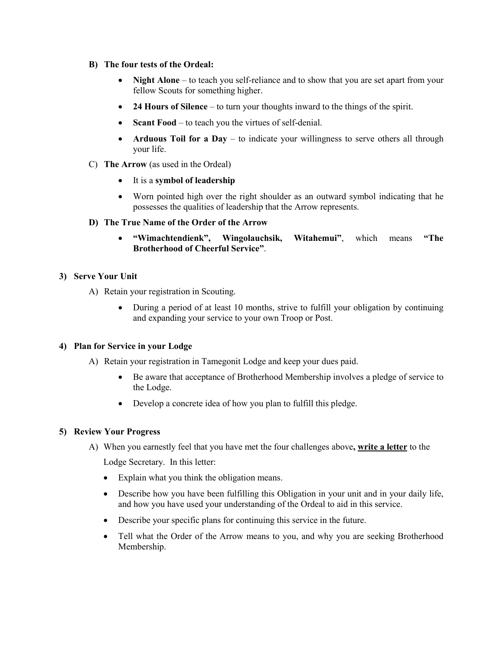- **B) The four tests of the Ordeal:** 
	- **Night Alone** to teach you self-reliance and to show that you are set apart from your fellow Scouts for something higher.
	- **24 Hours of Silence** to turn your thoughts inward to the things of the spirit.
	- **Scant Food** to teach you the virtues of self-denial.
	- **Arduous Toil for a Day** to indicate your willingness to serve others all through your life.
- C) **The Arrow** (as used in the Ordeal)
	- It is a **symbol of leadership**
	- Worn pointed high over the right shoulder as an outward symbol indicating that he possesses the qualities of leadership that the Arrow represents.

#### **D)** The True Name of the Order of the Arrow

• **"Wimachtendienk", Wingolauchsik, Witahemui"**, which means **"The Brotherhood of Cheerful Service"**.

#### **3) Serve Your Unit**

- A) Retain your registration in Scouting.
	- During a period of at least 10 months, strive to fulfill your obligation by continuing and expanding your service to your own Troop or Post.

#### **4) Plan for Service in your Lodge**

- A) Retain your registration in Tamegonit Lodge and keep your dues paid.
	- Be aware that acceptance of Brotherhood Membership involves a pledge of service to the Lodge.
	- Develop a concrete idea of how you plan to fulfill this pledge.

#### **5) Review Your Progress**

A) When you earnestly feel that you have met the four challenges above**, write a letter** to the

Lodge Secretary. In this letter:

- Explain what you think the obligation means.
- Describe how you have been fulfilling this Obligation in your unit and in your daily life, and how you have used your understanding of the Ordeal to aid in this service.
- Describe your specific plans for continuing this service in the future.
- Tell what the Order of the Arrow means to you, and why you are seeking Brotherhood Membership.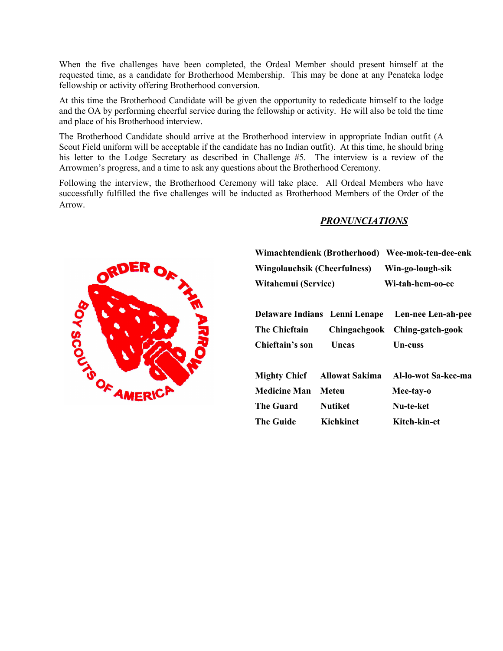When the five challenges have been completed, the Ordeal Member should present himself at the requested time, as a candidate for Brotherhood Membership. This may be done at any Penateka lodge fellowship or activity offering Brotherhood conversion.

At this time the Brotherhood Candidate will be given the opportunity to rededicate himself to the lodge and the OA by performing cheerful service during the fellowship or activity. He will also be told the time and place of his Brotherhood interview.

The Brotherhood Candidate should arrive at the Brotherhood interview in appropriate Indian outfit (A Scout Field uniform will be acceptable if the candidate has no Indian outfit). At this time, he should bring his letter to the Lodge Secretary as described in Challenge #5. The interview is a review of the Arrowmen's progress, and a time to ask any questions about the Brotherhood Ceremony.

Following the interview, the Brotherhood Ceremony will take place. All Ordeal Members who have successfully fulfilled the five challenges will be inducted as Brotherhood Members of the Order of the Arrow.



### *PROUCIATIOS*

| Wimachtendienk (Brotherhood) Wee-mok-ten-dee-enk<br><b>Wingolauchsik (Cheerfulness)</b> |                               |                     |
|-----------------------------------------------------------------------------------------|-------------------------------|---------------------|
|                                                                                         |                               | Win-go-lough-sik    |
| Witahemui (Service)                                                                     |                               | Wi-tah-hem-oo-ee    |
|                                                                                         |                               |                     |
|                                                                                         | Delaware Indians Lenni Lenape | Len-nee Len-ah-pee  |
| <b>The Chieftain</b>                                                                    | Chingachgook                  | Ching-gatch-gook    |
| Chieftain's son                                                                         | Uncas                         | <b>Un-cuss</b>      |
|                                                                                         |                               |                     |
| <b>Mighty Chief</b>                                                                     | <b>Allowat Sakima</b>         | Al-lo-wot Sa-kee-ma |
| <b>Medicine Man</b>                                                                     | Meteu                         | Mee-tay-o           |
| The Guard                                                                               | <b>Nutiket</b>                | Nu-te-ket           |
| The Guide                                                                               | Kichkinet                     | Kitch-kin-et        |
|                                                                                         |                               |                     |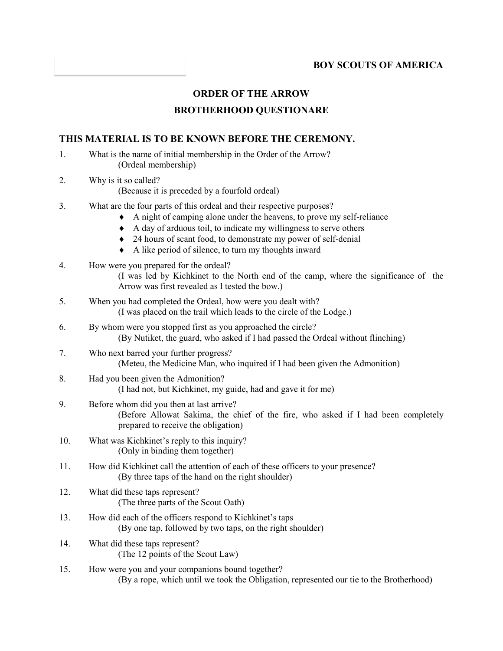# **ORDER OF THE ARROW BROTHERHOOD QUESTIOARE**

## THIS MATERIAL IS TO BE KNOWN BEFORE THE CEREMONY.

- 1. What is the name of initial membership in the Order of the Arrow? (Ordeal membership)
- 2. Why is it so called?
	- (Because it is preceded by a fourfold ordeal)
- 3. What are the four parts of this ordeal and their respective purposes?
	- ♦ A night of camping alone under the heavens, to prove my self-reliance
	- ♦ A day of arduous toil, to indicate my willingness to serve others
	- ♦ 24 hours of scant food, to demonstrate my power of self-denial
	- ♦ A like period of silence, to turn my thoughts inward
- 4. How were you prepared for the ordeal? (I was led by Kichkinet to the North end of the camp, where the significance of the Arrow was first revealed as I tested the bow.)
- 5. When you had completed the Ordeal, how were you dealt with? (I was placed on the trail which leads to the circle of the Lodge.)
- 6. By whom were you stopped first as you approached the circle? (By Nutiket, the guard, who asked if I had passed the Ordeal without flinching)
- 7. Who next barred your further progress? (Meteu, the Medicine Man, who inquired if I had been given the Admonition)
- 8. Had you been given the Admonition? (I had not, but Kichkinet, my guide, had and gave it for me)
- 9. Before whom did you then at last arrive? (Before Allowat Sakima, the chief of the fire, who asked if I had been completely prepared to receive the obligation)
- 10. What was Kichkinet's reply to this inquiry? (Only in binding them together)
- 11. How did Kichkinet call the attention of each of these officers to your presence? (By three taps of the hand on the right shoulder)
- 12. What did these taps represent? (The three parts of the Scout Oath)
- 13. How did each of the officers respond to Kichkinet's taps (By one tap, followed by two taps, on the right shoulder)
- 14. What did these taps represent? (The 12 points of the Scout Law)
- 15. How were you and your companions bound together? (By a rope, which until we took the Obligation, represented our tie to the Brotherhood)